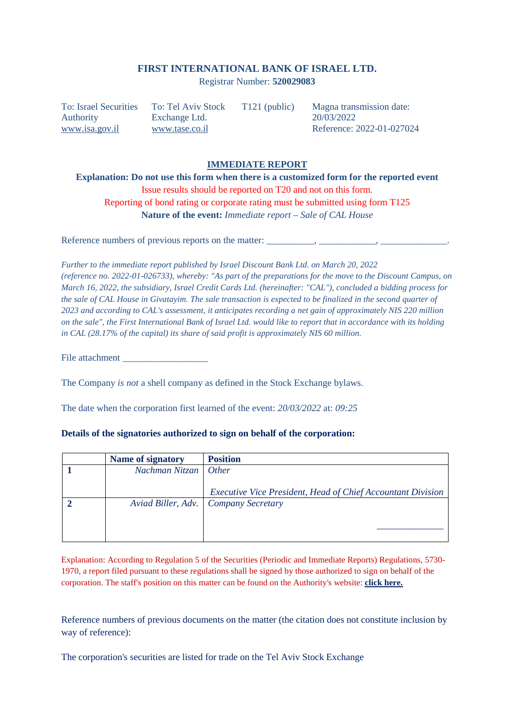## **FIRST INTERNATIONAL BANK OF ISRAEL LTD.**

Registrar Number: **520029083**

To: Israel Securities Authority www.isa.gov.il

To: Tel Aviv Stock Exchange Ltd. www.tase.co.il

T121 (public) Magna transmission date: 20/03/2022 Reference: 2022-01-027024

## **IMMEDIATE REPORT**

**Explanation: Do not use this form when there is a customized form for the reported event**  Issue results should be reported on T20 and not on this form. Reporting of bond rating or corporate rating must be submitted using form T125 **Nature of the event:** *Immediate report – Sale of CAL House* 

Reference numbers of previous reports on the matter: \_\_\_\_\_\_\_\_\_\_\_\_\_\_\_\_\_\_\_\_\_\_\_\_\_\_\_\_

*Further to the immediate report published by Israel Discount Bank Ltd. on March 20, 2022 (reference no. 2022-01-026733), whereby: "As part of the preparations for the move to the Discount Campus, on March 16, 2022, the subsidiary, Israel Credit Cards Ltd. (hereinafter: "CAL"), concluded a bidding process for the sale of CAL House in Givatayim. The sale transaction is expected to be finalized in the second quarter of 2023 and according to CAL's assessment, it anticipates recording a net gain of approximately NIS 220 million on the sale", the First International Bank of Israel Ltd. would like to report that in accordance with its holding in CAL (28.17% of the capital) its share of said profit is approximately NIS 60 million.* 

File attachment

The Company *is not* a shell company as defined in the Stock Exchange bylaws.

The date when the corporation first learned of the event: *20/03/2022* at: *09:25* 

|  | Name of signatory      | <b>Position</b> |
|--|------------------------|-----------------|
|  | Nachman Nitzan   Other |                 |

## **Details of the signatories authorized to sign on behalf of the corporation:**

**2** *Aviad Biller, Adv. Company Secretary* 

Explanation: According to Regulation 5 of the Securities (Periodic and Immediate Reports) Regulations, 5730- 1970, a report filed pursuant to these regulations shall be signed by those authorized to sign on behalf of the corporation. The staff's position on this matter can be found on the Authority's website: **click here.**

*Executive Vice President, Head of Chief Accountant Division*

*\_\_\_\_\_\_\_\_\_\_\_\_\_\_*

Reference numbers of previous documents on the matter (the citation does not constitute inclusion by way of reference):

The corporation's securities are listed for trade on the Tel Aviv Stock Exchange